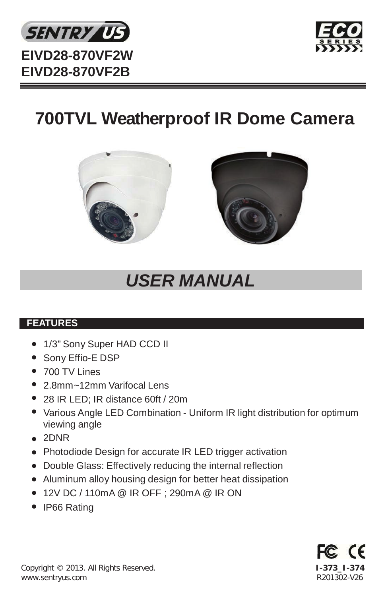



# **700TVL Weatherproof IR Dome Camera**





## *USER MANUAL*

## **FEATURES**

- 1/3" Sony Super HAD CCD II
- Sony Effio-E DSP
- 700 TV Lines
- 2.8mm~12mm Varifocal Lens
- 28 IR LED; IR distance 60ft / 20m
- Various Angle LED Combination Uniform IR light distribution for optimum viewing angle
- 2DNR
- Photodiode Design for accurate IR LED trigger activation
- Double Glass: Effectively reducing the internal reflection
- Aluminum alloy housing design for better heat dissipation
- 12V DC / 110mA @ IR OFF ; 290mA @ IR ON
- IP66 Rating

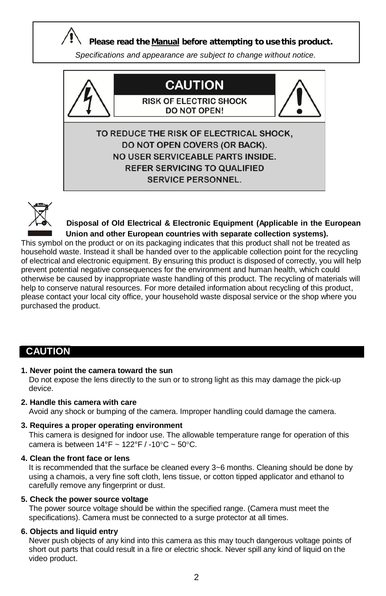



 **Disposal of Old Electrical & Electronic Equipment (Applicable in the European Union and other European countries with separate collection systems).**

This symbol on the product or on its packaging indicates that this product shall not be treated as household waste. Instead it shall be handed over to the applicable collection point for the recycling of electrical and electronic equipment. By ensuring this product is disposed of correctly, you will help prevent potential negative consequences for the environment and human health, which could otherwise be caused by inappropriate waste handling of this product. The recycling of materials will help to conserve natural resources. For more detailed information about recycling of this product, please contact your local city office, your household waste disposal service or the shop where you purchased the product.

## **CAUTION**

**1. Never point the camera toward the sun**

Do not expose the lens directly to the sun or to strong light as this may damage the pick-up device.

**2. Handle this camera with care**

Avoid any shock or bumping of the camera. Improper handling could damage the camera.

**3. Requires a proper operating environment**

This camera is designed for indoor use. The allowable temperature range for operation of this camera is between  $14^{\circ}F \sim 122^{\circ}F / -10^{\circ}C \sim 50^{\circ}C$ .

#### **4. Clean the front face or lens**

It is recommended that the surface be cleaned every 3~6 months. Cleaning should be done by using a chamois, a very fine soft cloth, lens tissue, or cotton tipped applicator and ethanol to carefully remove any fingerprint or dust.

#### **5. Check the power source voltage**

The power source voltage should be within the specified range. (Camera must meet the specifications). Camera must be connected to a surge protector at all times.

#### **6. Objects and liquid entry**

Never push objects of any kind into this camera as this may touch dangerous voltage points of short out parts that could result in a fire or electric shock. Never spill any kind of liquid on the video product.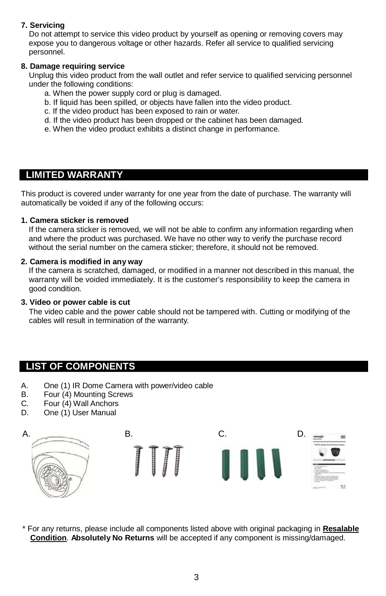#### **7. Servicing**

Do not attempt to service this video product by yourself as opening or removing covers may expose you to dangerous voltage or other hazards. Refer all service to qualified servicing personnel.

#### **8. Damage requiring service**

Unplug this video product from the wall outlet and refer service to qualified servicing personnel under the following conditions:

- a. When the power supply cord or plug is damaged.
- b. If liquid has been spilled, or objects have fallen into the video product.
- c. If the video product has been exposed to rain or water.
- d. If the video product has been dropped or the cabinet has been damaged.
- e. When the video product exhibits a distinct change in performance.

### **LIMITED WARRANTY**

This product is covered under warranty for one year from the date of purchase. The warranty will automatically be voided if any of the following occurs:

#### **1. Camera sticker is removed**

If the camera sticker is removed, we will not be able to confirm any information regarding when and where the product was purchased. We have no other way to verify the purchase record without the serial number on the camera sticker; therefore, it should not be removed.

#### **2. Camera is modified in any way**

If the camera is scratched, damaged, or modified in a manner not described in this manual, the warranty will be voided immediately. It is the customer's responsibility to keep the camera in good condition.

#### **3. Video or power cable is cut**

The video cable and the power cable should not be tampered with. Cutting or modifying of the cables will result in termination of the warranty.

## **LIST OF COMPONENTS**

- A. One (1) IR Dome Camera with power/video cable<br>B. Four (4) Mounting Screws
- Four (4) Mounting Screws
- C. Four (4) Wall Anchors
- D. One (1) User Manual



\* For any returns, please include all components listed above with original packaging in **Resalable Condition**. **Absolutely No Returns** will be accepted if any component is missing/damaged.